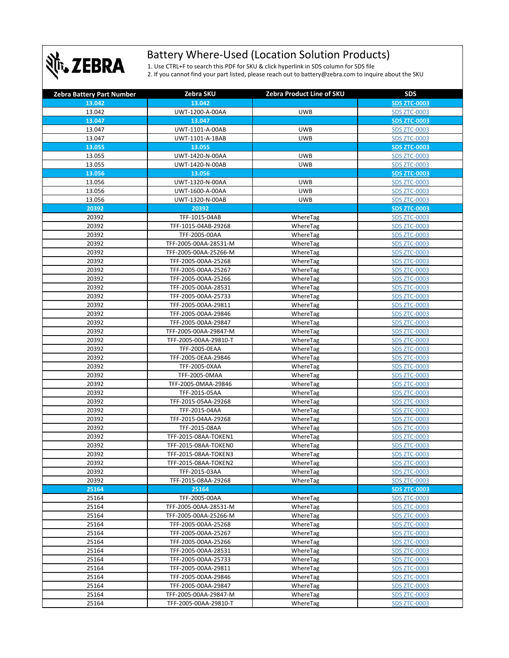

## Battery Where-Used (Location Solution Products)

1. Use CTRL+F to search this PDF for SKU & click hyperlink in SDS column for SDS file 2. If you cannot find your part listed, please reach out to battery@zebra.com to inquire about the SKU

| <b>Zebra Battery Part Number</b> | Zebra SKU             | Zebra Product Line of SKU | <b>SDS</b>          |
|----------------------------------|-----------------------|---------------------------|---------------------|
| 13.042                           | 13.042                |                           | <b>SDS ZTC-0003</b> |
| 13.042                           | UWT-1200-A-00AA       | <b>UWB</b>                | <b>SDS ZTC-0003</b> |
| 13.047                           | 13.047                |                           | <b>SDS ZTC-0003</b> |
| 13.047                           | UWT-1101-A-00AB       | <b>UWB</b>                | <b>SDS ZTC-0003</b> |
| 13.047                           | UWT-1101-A-1BAB       | <b>UWB</b>                | <b>SDS ZTC-0003</b> |
| 13.055                           | 13.055                |                           | <b>SDS ZTC-0003</b> |
| 13.055                           | UWT-1420-N-00AA       | <b>UWB</b>                | <b>SDS ZTC-0003</b> |
| 13.055                           | UWT-1420-N-00AB       | <b>UWB</b>                | <b>SDS ZTC-0003</b> |
| 13.056                           | 13.056                |                           | <b>SDS ZTC-0003</b> |
| 13.056                           | UWT-1320-N-00AA       | <b>UWB</b>                | <b>SDS ZTC-0003</b> |
| 13.056                           | UWT-1600-A-00AA       | <b>UWB</b>                | <b>SDS ZTC-0003</b> |
| 13.056                           | UWT-1320-N-00AB       | <b>UWB</b>                | <b>SDS ZTC-0003</b> |
| 20392                            | 20392                 |                           | <b>SDS ZTC-0003</b> |
| 20392                            | TFF-1015-04AB         | WhereTag                  | <b>SDS ZTC-0003</b> |
| 20392                            | TFF-1015-04AB-29268   | WhereTag                  | <b>SDS ZTC-0003</b> |
| 20392                            | TFF-2005-00AA         | WhereTag                  | <b>SDS ZTC-0003</b> |
| 20392                            | TFF-2005-00AA-28531-M | WhereTag                  | <b>SDS ZTC-0003</b> |
| 20392                            | TFF-2005-00AA-25266-M | WhereTag                  | <b>SDS ZTC-0003</b> |
| 20392                            | TFF-2005-00AA-25268   | WhereTag                  | <b>SDS ZTC-0003</b> |
| 20392                            | TFF-2005-00AA-25267   | WhereTag                  | <b>SDS ZTC-0003</b> |
| 20392                            | TFF-2005-00AA-25266   | WhereTag                  | <b>SDS ZTC-0003</b> |
| 20392                            | TFF-2005-00AA-28531   | WhereTag                  | <b>SDS ZTC-0003</b> |
| 20392                            | TFF-2005-00AA-25733   | WhereTag                  | <b>SDS ZTC-0003</b> |
| 20392                            | TFF-2005-00AA-29811   | WhereTag                  | <b>SDS ZTC-0003</b> |
| 20392                            | TFF-2005-00AA-29846   | WhereTag                  | <b>SDS ZTC-0003</b> |
| 20392                            | TFF-2005-00AA-29847   | WhereTag                  | <b>SDS ZTC-0003</b> |
| 20392                            | TFF-2005-00AA-29847-M | WhereTag                  | <b>SDS ZTC-0003</b> |
| 20392                            | TFF-2005-00AA-29810-T | WhereTag                  | <b>SDS ZTC-0003</b> |
| 20392                            | TFF-2005-0EAA         | WhereTag                  | <b>SDS ZTC-0003</b> |
| 20392                            | TFF-2005-0EAA-29846   | WhereTag                  | <b>SDS ZTC-0003</b> |
| 20392                            | TFF-2005-0XAA         | WhereTag                  | <b>SDS ZTC-0003</b> |
| 20392                            | TFF-2005-0MAA         | WhereTag                  | <b>SDS ZTC-0003</b> |
| 20392                            | TFF-2005-0MAA-29846   | WhereTag                  | <b>SDS ZTC-0003</b> |
| 20392                            | TFF-2015-05AA         | WhereTag                  | <b>SDS ZTC-0003</b> |
| 20392                            | TFF-2015-05AA-29268   | WhereTag                  | <b>SDS ZTC-0003</b> |
| 20392                            | TFF-2015-04AA         | WhereTag                  | <b>SDS ZTC-0003</b> |
| 20392                            | TFF-2015-04AA-29268   | WhereTag                  | <b>SDS ZTC-0003</b> |
| 20392                            | TFF-2015-08AA         | WhereTag                  | <b>SDS ZTC-0003</b> |
| 20392                            | TFF-2015-08AA-TOKEN1  | WhereTag                  | <b>SDS ZTC-0003</b> |
| 20392                            | TFF-2015-08AA-TOKEN0  | WhereTag                  | <b>SDS ZTC-0003</b> |
| 20392                            | TFF-2015-08AA-TOKEN3  | WhereTag                  | <b>SDS ZTC-0003</b> |
| 20392                            | TFF-2015-08AA-TOKEN2  | WhereTag                  | <b>SDS ZTC-0003</b> |
| 20392                            | TFF-2015-03AA         | WhereTag                  | <b>SDS ZTC-0003</b> |
| 20392                            | TFF-2015-08AA-29268   | WhereTag                  | <b>SDS ZTC-0003</b> |
| 25164                            | 25164                 |                           | <b>SDS ZTC-0003</b> |
| 25164                            | TFF-2005-00AA         | WhereTag                  | <b>SDS ZTC-0003</b> |
| 25164                            | TFF-2005-00AA-28531-M | WhereTag                  | <b>SDS ZTC-0003</b> |
| 25164                            | TFF-2005-00AA-25266-M | WhereTag                  | <b>SDS ZTC-0003</b> |
| 25164                            | TFF-2005-00AA-25268   | WhereTag                  | <b>SDS ZTC-0003</b> |
| 25164                            | TFF-2005-00AA-25267   | WhereTag                  | <b>SDS ZTC-0003</b> |
| 25164                            | TFF-2005-00AA-25266   | WhereTag                  | <b>SDS ZTC-0003</b> |
| 25164                            | TFF-2005-00AA-28531   | WhereTag                  | <b>SDS ZTC-0003</b> |
| 25164                            | TFF-2005-00AA-25733   | WhereTag                  | <b>SDS ZTC-0003</b> |
| 25164                            | TFF-2005-00AA-29811   | WhereTag                  | <b>SDS ZTC-0003</b> |
| 25164                            | TFF-2005-00AA-29846   | WhereTag                  | <b>SDS ZTC-0003</b> |
| 25164                            | TFF-2005-00AA-29847   | WhereTag                  | <b>SDS ZTC-0003</b> |
| 25164                            | TFF-2005-00AA-29847-M | WhereTag                  | <b>SDS ZTC-0003</b> |
| 25164                            | TFF-2005-00AA-29810-T | WhereTag                  | <b>SDS ZTC-0003</b> |